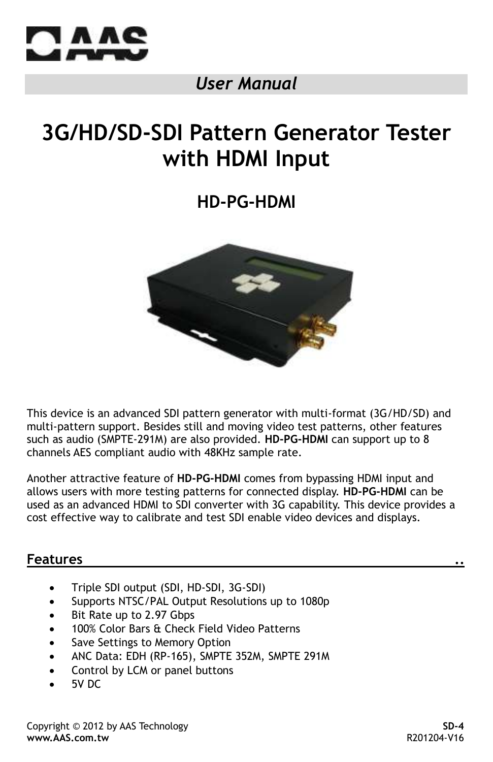

# *User Manual*

# **3G/HD/SD-SDI Pattern Generator Tester with HDMI Input**

**HD-PG-HDMI**



This device is an advanced SDI pattern generator with multi-format (3G/HD/SD) and multi-pattern support. Besides still and moving video test patterns, other features such as audio (SMPTE-291M) are also provided. **HD-PG-HDMI** can support up to 8 channels AES compliant audio with 48KHz sample rate.

Another attractive feature of **HD-PG-HDMI** comes from bypassing HDMI input and allows users with more testing patterns for connected display. **HD-PG-HDMI** can be used as an advanced HDMI to SDI converter with 3G capability. This device provides a cost effective way to calibrate and test SDI enable video devices and displays.

#### **Features ..**

- Triple SDI output (SDI, HD-SDI, 3G-SDI)
- Supports NTSC/PAL Output Resolutions up to 1080p
- Bit Rate up to 2.97 Gbps
- 100% Color Bars & Check Field Video Patterns
- Save Settings to Memory Option
- ANC Data: EDH (RP-165), SMPTE 352M, SMPTE 291M
- Control by LCM or panel buttons
- 5V DC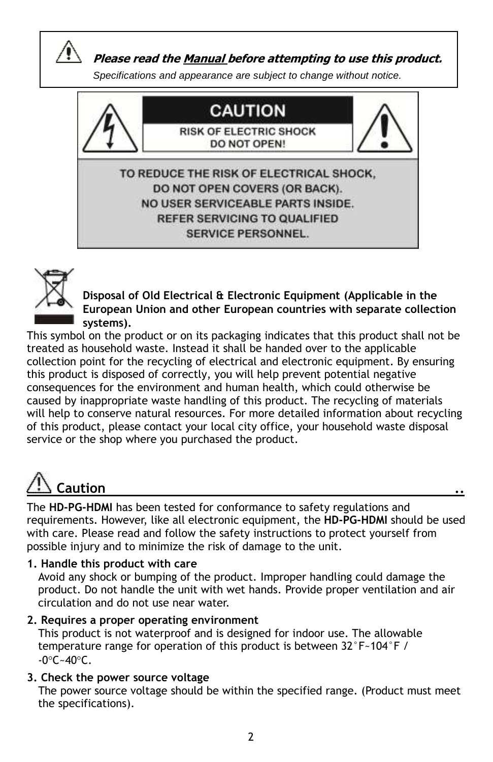

 **Please read the Manual before attempting to use this product.**

*Specifications and appearance are subject to change without notice.*





**Disposal of Old Electrical & Electronic Equipment (Applicable in the European Union and other European countries with separate collection systems).**

This symbol on the product or on its packaging indicates that this product shall not be treated as household waste. Instead it shall be handed over to the applicable collection point for the recycling of electrical and electronic equipment. By ensuring this product is disposed of correctly, you will help prevent potential negative consequences for the environment and human health, which could otherwise be caused by inappropriate waste handling of this product. The recycling of materials will help to conserve natural resources. For more detailed information about recycling of this product, please contact your local city office, your household waste disposal service or the shop where you purchased the product.

# **Caution ..**

The **HD-PG-HDMI** has been tested for conformance to safety regulations and requirements. However, like all electronic equipment, the **HD-PG-HDMI** should be used with care. Please read and follow the safety instructions to protect yourself from possible injury and to minimize the risk of damage to the unit.

**1. Handle this product with care**

 Avoid any shock or bumping of the product. Improper handling could damage the product. Do not handle the unit with wet hands. Provide proper ventilation and air circulation and do not use near water.

**2. Requires a proper operating environment**

 This product is not waterproof and is designed for indoor use. The allowable temperature range for operation of this product is between 32°F~104°F /  $-0^{\circ}$ C $-40^{\circ}$ C.

## **3. Check the power source voltage**

 The power source voltage should be within the specified range. (Product must meet the specifications).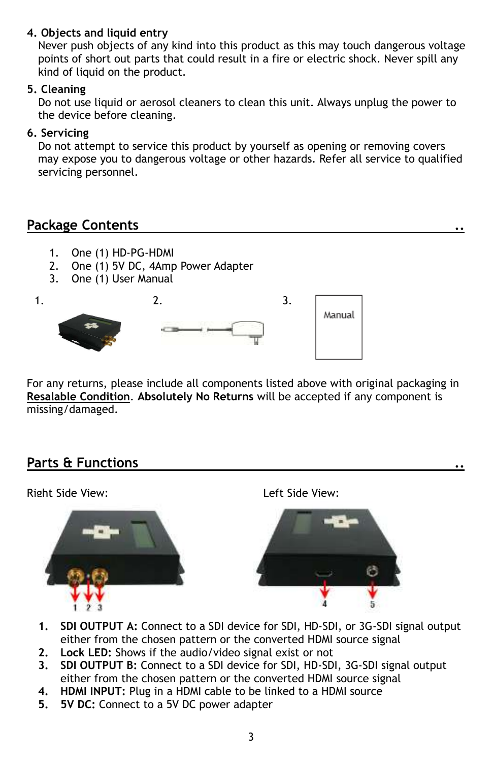#### **4. Objects and liquid entry**

 Never push objects of any kind into this product as this may touch dangerous voltage points of short out parts that could result in a fire or electric shock. Never spill any kind of liquid on the product.

#### **5. Cleaning**

 Do not use liquid or aerosol cleaners to clean this unit. Always unplug the power to the device before cleaning.

#### **6. Servicing**

 Do not attempt to service this product by yourself as opening or removing covers may expose you to dangerous voltage or other hazards. Refer all service to qualified servicing personnel.

## **Package Contents ..**

- 1. One (1) HD-PG-HDMI
- 2. One (1) 5V DC, 4Amp Power Adapter
- 3. One (1) User Manual

 $1.$  2.  $3.$ Manual

For any returns, please include all components listed above with original packaging in **Resalable Condition**. **Absolutely No Returns** will be accepted if any component is missing/damaged.

## **Parts & Functions ..**



- **1. SDI OUTPUT A:** Connect to a SDI device for SDI, HD-SDI, or 3G-SDI signal output either from the chosen pattern or the converted HDMI source signal
- **2. Lock LED:** Shows if the audio/video signal exist or not
- **3. SDI OUTPUT B:** Connect to a SDI device for SDI, HD-SDI, 3G-SDI signal output either from the chosen pattern or the converted HDMI source signal
- **4. HDMI INPUT:** Plug in a HDMI cable to be linked to a HDMI source
- **5. 5V DC:** Connect to a 5V DC power adapter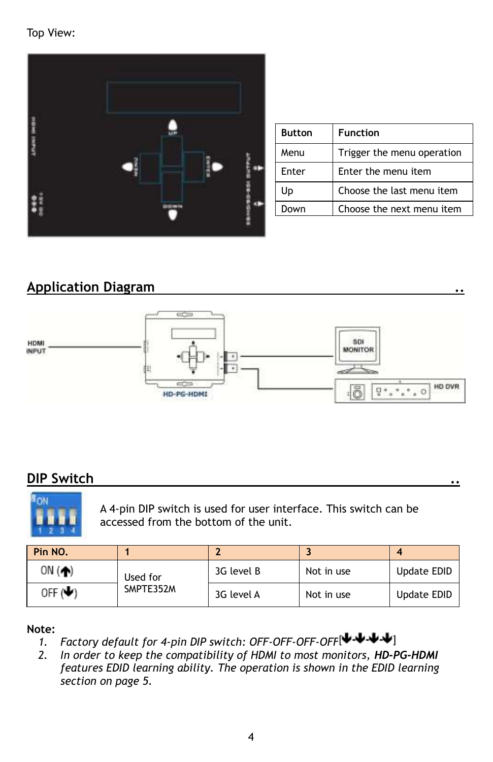Top View:



| <b>Button</b> | <b>Function</b>            |
|---------------|----------------------------|
| Menu          | Trigger the menu operation |
| Fnter         | Enter the menu item        |
| Up            | Choose the last menu item  |
| <b>Inwn</b>   | Choose the next menu item  |

# **Application Diagram ..**



# **DIP Switch ..**



A 4-pin DIP switch is used for user interface. This switch can be accessed from the bottom of the unit.

| Pin NO. |                       |            |            |             |
|---------|-----------------------|------------|------------|-------------|
| ON $($  | Used for<br>SMPTE352M | 3G level B | Not in use | Update EDID |
| OFF (V) |                       | 3G level A | Not in use | Update EDID |

#### **Note:**

- *1. Factory default for 4-pin DIP switch: OFF-OFF-OFF-OFF*
- *2. In order to keep the compatibility of HDMI to most monitors, HD-PG-HDMI features EDID learning ability. The operation is shown in the EDID learning section on page 5.*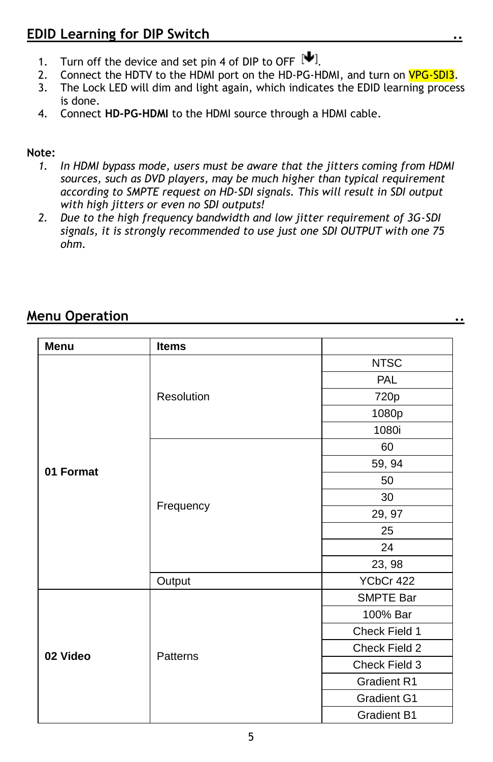- 1. Turn off the device and set pin 4 of DIP to OFF  $[\mathbf{\Psi}]$ .
- 2. Connect the HDTV to the HDMI port on the HD-PG-HDMI, and turn on VPG-SDI3.
- 3. The Lock LED will dim and light again, which indicates the EDID learning process is done.
- 4. Connect **HD-PG-HDMI** to the HDMI source through a HDMI cable.

#### **Note:**

- *1. In HDMI bypass mode, users must be aware that the jitters coming from HDMI sources, such as DVD players, may be much higher than typical requirement according to SMPTE request on HD-SDI signals. This will result in SDI output with high jitters or even no SDI outputs!*
- *2. Due to the high frequency bandwidth and low jitter requirement of 3G-SDI signals, it is strongly recommended to use just one SDI OUTPUT with one 75 ohm.*

## **Menu Operation ..**

| Menu      | <b>Items</b> |                    |
|-----------|--------------|--------------------|
|           |              | <b>NTSC</b>        |
|           |              | <b>PAL</b>         |
|           | Resolution   | 720p               |
|           |              | 1080p              |
|           |              | 1080i              |
|           |              | 60                 |
| 01 Format |              | 59, 94             |
|           |              | 50                 |
|           | Frequency    | 30                 |
|           |              | 29, 97             |
|           |              | 25                 |
|           |              | 24                 |
|           |              | 23, 98             |
|           | Output       | YCbCr 422          |
|           |              | SMPTE Bar          |
|           |              | 100% Bar           |
|           |              | Check Field 1      |
| 02 Video  | Patterns     | Check Field 2      |
|           |              | Check Field 3      |
|           |              | <b>Gradient R1</b> |
|           |              | Gradient G1        |
|           |              | <b>Gradient B1</b> |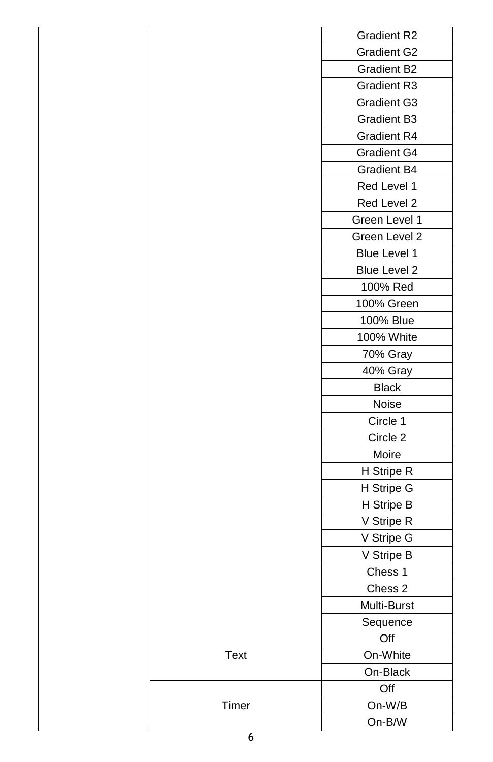|  |             | Gradient R2        |
|--|-------------|--------------------|
|  |             | Gradient G2        |
|  |             | <b>Gradient B2</b> |
|  |             | Gradient R3        |
|  |             | Gradient G3        |
|  |             | Gradient B3        |
|  |             | Gradient R4        |
|  |             | Gradient G4        |
|  |             | Gradient B4        |
|  |             | Red Level 1        |
|  |             | Red Level 2        |
|  |             | Green Level 1      |
|  |             | Green Level 2      |
|  |             | Blue Level 1       |
|  |             | Blue Level 2       |
|  |             | 100% Red           |
|  |             | 100% Green         |
|  |             | 100% Blue          |
|  |             | 100% White         |
|  |             | 70% Gray           |
|  |             | 40% Gray           |
|  |             | <b>Black</b>       |
|  |             | Noise              |
|  |             | Circle 1           |
|  |             | Circle 2           |
|  |             | Moire              |
|  |             | H Stripe R         |
|  |             | H Stripe G         |
|  |             | H Stripe B         |
|  |             | V Stripe R         |
|  |             | V Stripe G         |
|  |             | V Stripe B         |
|  |             | Chess 1            |
|  |             | Chess 2            |
|  |             | Multi-Burst        |
|  |             | Sequence           |
|  |             | Off                |
|  | <b>Text</b> | On-White           |
|  |             | On-Black           |
|  | Timer       | Off                |
|  |             | On-W/B             |
|  |             | $On-B/W$           |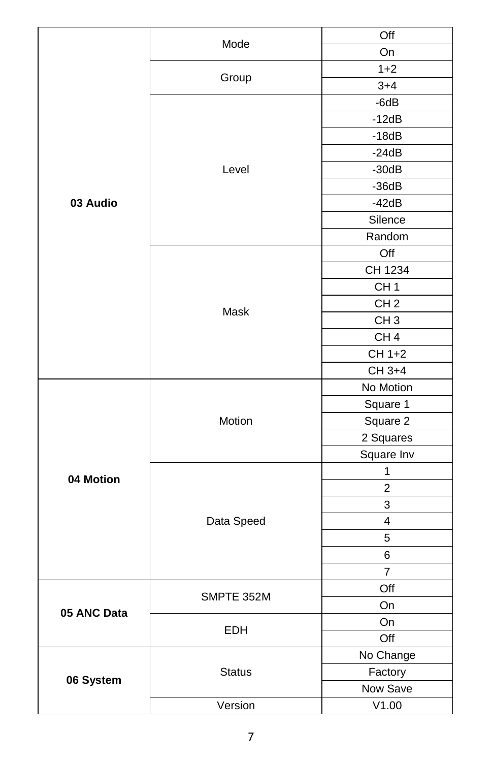|             | Mode          | Off             |
|-------------|---------------|-----------------|
|             |               | On              |
|             |               | $1 + 2$         |
|             | Group         | $3 + 4$         |
|             |               | $-6dB$          |
|             |               | $-12dB$         |
|             |               | $-18dB$         |
|             |               | $-24dB$         |
|             | Level         | $-30dB$         |
|             |               | $-36dB$         |
| 03 Audio    |               | $-42dB$         |
|             |               | Silence         |
|             |               | Random          |
|             |               | Off             |
|             |               | CH 1234         |
|             |               | CH <sub>1</sub> |
|             |               | CH <sub>2</sub> |
|             | Mask          | CH <sub>3</sub> |
|             |               | CH <sub>4</sub> |
|             |               | CH 1+2          |
|             |               | CH 3+4          |
|             |               | No Motion       |
|             |               | Square 1        |
|             | Motion        | Square 2        |
|             |               | 2 Squares       |
|             |               | Square Inv      |
| 04 Motion   |               | 1               |
|             |               | $\overline{c}$  |
|             |               | 3               |
|             | Data Speed    | 4               |
|             |               | 5               |
|             |               | 6               |
|             |               | 7               |
|             | SMPTE 352M    | Off             |
| 05 ANC Data |               | On              |
|             | EDH           | On              |
|             |               | Off             |
|             |               | No Change       |
| 06 System   | <b>Status</b> | Factory         |
|             |               | Now Save        |
|             | Version       | V1.00           |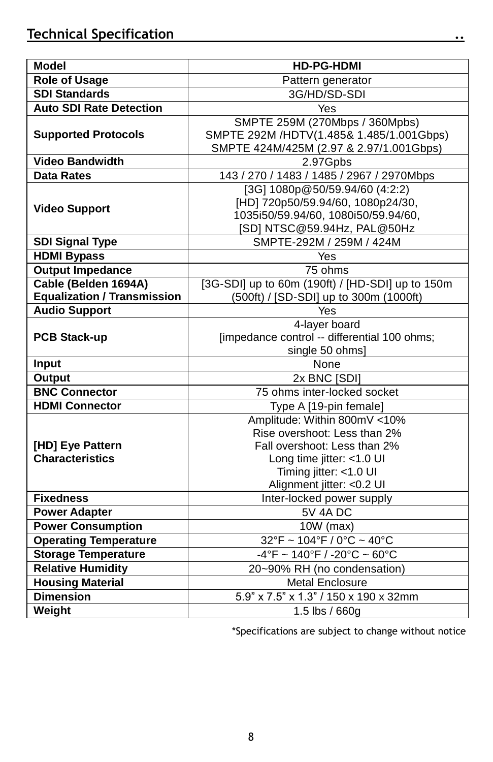| <b>Model</b>                       | <b>HD-PG-HDMI</b>                                                      |  |  |
|------------------------------------|------------------------------------------------------------------------|--|--|
| Role of Usage                      | Pattern generator                                                      |  |  |
| <b>SDI Standards</b>               | 3G/HD/SD-SDI                                                           |  |  |
| <b>Auto SDI Rate Detection</b>     | Yes                                                                    |  |  |
|                                    | SMPTE 259M (270Mbps / 360Mpbs)                                         |  |  |
| <b>Supported Protocols</b>         | SMPTE 292M /HDTV(1.485& 1.485/1.001Gbps)                               |  |  |
|                                    | SMPTE 424M/425M (2.97 & 2.97/1.001Gbps)                                |  |  |
| <b>Video Bandwidth</b>             | 2.97Gpbs                                                               |  |  |
| <b>Data Rates</b>                  | 143 / 270 / 1483 / 1485 / 2967 / 2970Mbps                              |  |  |
|                                    | [3G] 1080p@50/59.94/60 (4:2:2)                                         |  |  |
| <b>Video Support</b>               | [HD] 720p50/59.94/60, 1080p24/30,                                      |  |  |
|                                    | 1035i50/59.94/60, 1080i50/59.94/60,                                    |  |  |
|                                    | [SD] NTSC@59.94Hz, PAL@50Hz                                            |  |  |
| <b>SDI Signal Type</b>             | SMPTE-292M / 259M / 424M                                               |  |  |
| <b>HDMI Bypass</b>                 | Yes                                                                    |  |  |
| <b>Output Impedance</b>            | 75 ohms                                                                |  |  |
| Cable (Belden 1694A)               | [3G-SDI] up to 60m (190ft) / [HD-SDI] up to 150m                       |  |  |
| <b>Equalization / Transmission</b> | (500ft) / [SD-SDI] up to 300m (1000ft)                                 |  |  |
| <b>Audio Support</b>               | Yes                                                                    |  |  |
|                                    | 4-layer board                                                          |  |  |
| <b>PCB Stack-up</b>                | [impedance control -- differential 100 ohms;                           |  |  |
|                                    | single 50 ohms]                                                        |  |  |
| Input                              | None                                                                   |  |  |
| Output                             | $2x$ BNC $[SD]$                                                        |  |  |
| <b>BNC Connector</b>               | 75 ohms inter-locked socket                                            |  |  |
| <b>HDMI Connector</b>              | Type A [19-pin female]                                                 |  |  |
|                                    | Amplitude: Within 800mV <10%                                           |  |  |
|                                    | Rise overshoot: Less than 2%                                           |  |  |
| [HD] Eye Pattern                   | Fall overshoot: Less than 2%                                           |  |  |
| <b>Characteristics</b>             | Long time jitter: $<$ 1.0 UI                                           |  |  |
|                                    | Timing jitter: <1.0 UI                                                 |  |  |
|                                    | Alignment jitter: < 0.2 UI                                             |  |  |
| <b>Fixedness</b>                   | Inter-locked power supply                                              |  |  |
| <b>Power Adapter</b>               | <b>5V 4A DC</b>                                                        |  |  |
| <b>Power Consumption</b>           | 10W (max)                                                              |  |  |
| <b>Operating Temperature</b>       | $32^{\circ}$ F ~ $104^{\circ}$ F / 0°C ~ 40°C                          |  |  |
| <b>Storage Temperature</b>         | $-4^{\circ}$ F ~ 140 $^{\circ}$ F / -20 $^{\circ}$ C ~ 60 $^{\circ}$ C |  |  |
| <b>Relative Humidity</b>           | 20~90% RH (no condensation)                                            |  |  |
| <b>Housing Material</b>            | <b>Metal Enclosure</b>                                                 |  |  |
| <b>Dimension</b>                   | 5.9" x 7.5" x 1.3" / 150 x 190 x 32mm                                  |  |  |
| Weight                             | 1.5 lbs / 660g                                                         |  |  |

\*Specifications are subject to change without notice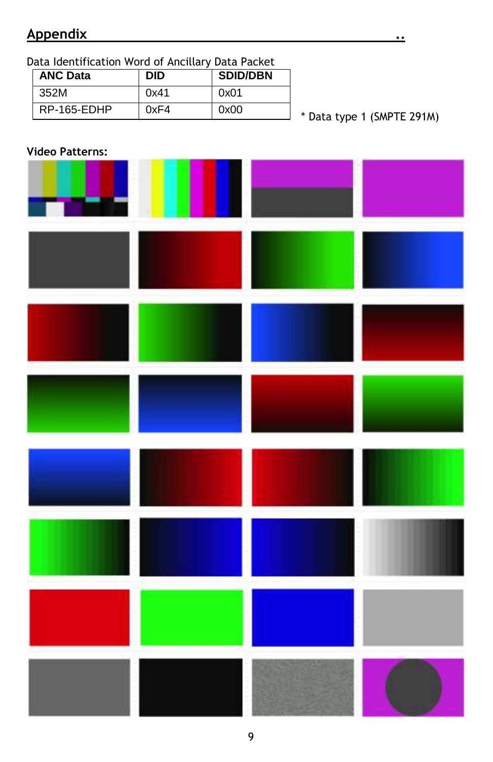## **Appendix ..**

Data Identification Word of Ancillary Data Packet

| <b>ANC Data</b> | <b>DID</b> | <b>SDID/DBN</b> |
|-----------------|------------|-----------------|
| 352M            | 0x41       | 0x01            |
| RP-165-EDHP     | 0xF4       | 0x00            |

\* Data type 1 (SMPTE 291M)

#### **Video Patterns:**

| a de la | Ш |  |
|---------|---|--|
|         |   |  |
|         |   |  |
|         |   |  |
|         |   |  |
|         |   |  |
|         |   |  |
|         |   |  |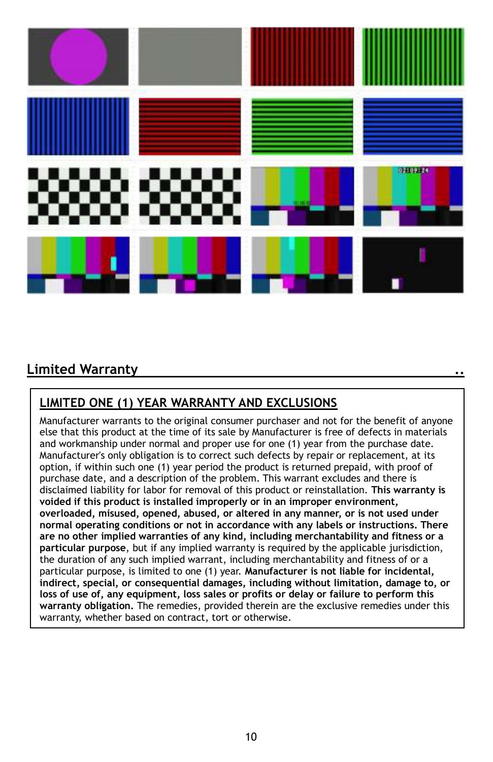

# **Limited Warranty ..**

## **LIMITED ONE (1) YEAR WARRANTY AND EXCLUSIONS**

Manufacturer warrants to the original consumer purchaser and not for the benefit of anyone else that this product at the time of its sale by Manufacturer is free of defects in materials and workmanship under normal and proper use for one (1) year from the purchase date. Manufacturer's only obligation is to correct such defects by repair or replacement, at its option, if within such one (1) year period the product is returned prepaid, with proof of purchase date, and a description of the problem. This warrant excludes and there is disclaimed liability for labor for removal of this product or reinstallation. **This warranty is voided if this product is installed improperly or in an improper environment, overloaded, misused, opened, abused, or altered in any manner, or is not used under normal operating conditions or not in accordance with any labels or instructions. There are no other implied warranties of any kind, including merchantability and fitness or a particular purpose**, but if any implied warranty is required by the applicable jurisdiction, the duration of any such implied warrant, including merchantability and fitness of or a particular purpose, is limited to one (1) year. **Manufacturer is not liable for incidental, indirect, special, or consequential damages, including without limitation, damage to, or loss of use of, any equipment, loss sales or profits or delay or failure to perform this warranty obligation.** The remedies, provided therein are the exclusive remedies under this warranty, whether based on contract, tort or otherwise.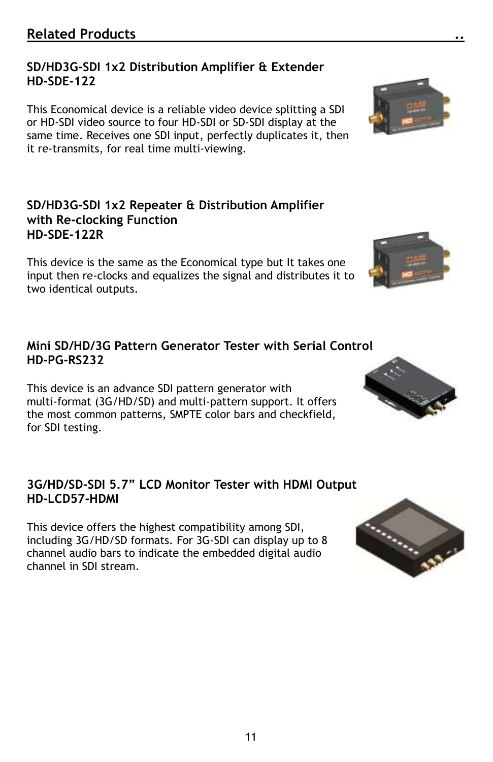11

## **SD/HD3G-SDI 1x2 Distribution Amplifier & Extender HD-SDE-122**

This Economical device is a reliable video device splitting a SDI or HD-SDI video source to four HD-SDI or SD-SDI display at the same time. Receives one SDI input, perfectly duplicates it, then it re-transmits, for real time multi-viewing.

## **SD/HD3G-SDI 1x2 Repeater & Distribution Amplifier with Re-clocking Function HD-SDE-122R**

This device is the same as the Economical type but It takes one input then re-clocks and equalizes the signal and distributes it to two identical outputs.

## **Mini SD/HD/3G Pattern Generator Tester with Serial Control HD-PG-RS232**

This device is an advance SDI pattern generator with multi-format (3G/HD/SD) and multi-pattern support. It offers the most common patterns, SMPTE color bars and checkfield, for SDI testing.

## **3G/HD/SD-SDI 5.7" LCD Monitor Tester with HDMI Output HD-LCD57-HDMI**

This device offers the highest compatibility among SDI, including 3G/HD/SD formats. For 3G-SDI can display up to 8 channel audio bars to indicate the embedded digital audio channel in SDI stream.